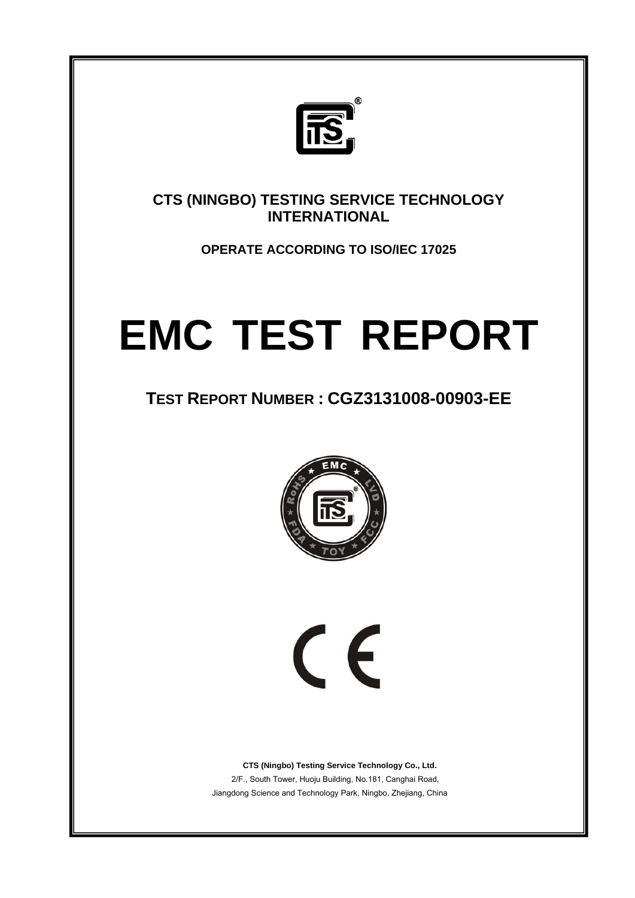

**CTS (NINGBO) TESTING SERVICE TECHNOLOGY INTERNATIONAL** 

**OPERATE ACCORDING TO ISO/IEC 17025** 

# **EMC TEST REPORT**

# **TEST REPORT NUMBER : CGZ3131008-00903-EE**



 $\epsilon$ 

 **CTS (Ningbo) Testing Service Technology Co., Ltd.** 2/F., South Tower, Huoju Building, No.181, Canghai Road, Jiangdong Science and Technology Park, Ningbo, Zhejiang, China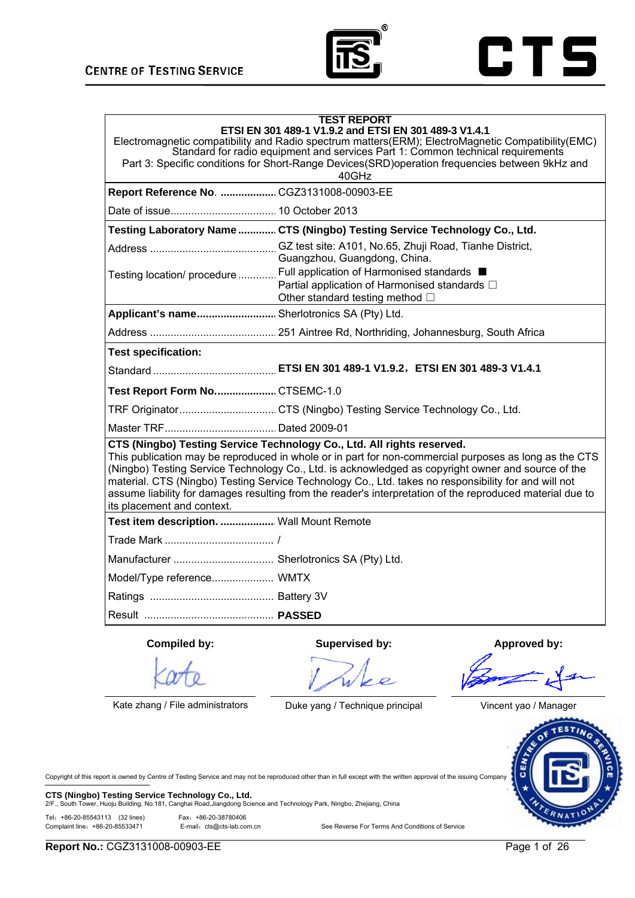



| <b>TEST REPORT</b><br>ETSI EN 301 489-1 V1.9.2 and ETSI EN 301 489-3 V1.4.1<br>Electromagnetic compatibility and Radio spectrum matters(ERM); ElectroMagnetic Compatibility(EMC)<br>Standard for radio equipment and services Part 1: Common technical requirements<br>Part 3: Specific conditions for Short-Range Devices(SRD)operation frequencies between 9kHz and<br>40GHz                                                                                                                                                           |                                                                                                                                                                                                  |              |
|------------------------------------------------------------------------------------------------------------------------------------------------------------------------------------------------------------------------------------------------------------------------------------------------------------------------------------------------------------------------------------------------------------------------------------------------------------------------------------------------------------------------------------------|--------------------------------------------------------------------------------------------------------------------------------------------------------------------------------------------------|--------------|
| Report Reference No.  CGZ3131008-00903-EE                                                                                                                                                                                                                                                                                                                                                                                                                                                                                                |                                                                                                                                                                                                  |              |
|                                                                                                                                                                                                                                                                                                                                                                                                                                                                                                                                          |                                                                                                                                                                                                  |              |
|                                                                                                                                                                                                                                                                                                                                                                                                                                                                                                                                          | Testing Laboratory Name  CTS (Ningbo) Testing Service Technology Co., Ltd.                                                                                                                       |              |
|                                                                                                                                                                                                                                                                                                                                                                                                                                                                                                                                          | Guangzhou, Guangdong, China.<br>Testing location/ procedure  Full application of Harmonised standards ■<br>Partial application of Harmonised standards $\Box$<br>Other standard testing method □ |              |
| Applicant's name Sherlotronics SA (Pty) Ltd.                                                                                                                                                                                                                                                                                                                                                                                                                                                                                             |                                                                                                                                                                                                  |              |
|                                                                                                                                                                                                                                                                                                                                                                                                                                                                                                                                          |                                                                                                                                                                                                  |              |
| <b>Test specification:</b>                                                                                                                                                                                                                                                                                                                                                                                                                                                                                                               |                                                                                                                                                                                                  |              |
|                                                                                                                                                                                                                                                                                                                                                                                                                                                                                                                                          |                                                                                                                                                                                                  |              |
| Test Report Form No CTSEMC-1.0                                                                                                                                                                                                                                                                                                                                                                                                                                                                                                           |                                                                                                                                                                                                  |              |
|                                                                                                                                                                                                                                                                                                                                                                                                                                                                                                                                          | TRF OriginatorCTS (Ningbo) Testing Service Technology Co., Ltd.                                                                                                                                  |              |
|                                                                                                                                                                                                                                                                                                                                                                                                                                                                                                                                          |                                                                                                                                                                                                  |              |
| CTS (Ningbo) Testing Service Technology Co., Ltd. All rights reserved.<br>This publication may be reproduced in whole or in part for non-commercial purposes as long as the CTS<br>(Ningbo) Testing Service Technology Co., Ltd. is acknowledged as copyright owner and source of the<br>material. CTS (Ningbo) Testing Service Technology Co., Ltd. takes no responsibility for and will not<br>assume liability for damages resulting from the reader's interpretation of the reproduced material due to<br>its placement and context. |                                                                                                                                                                                                  |              |
| Test item description.  Wall Mount Remote                                                                                                                                                                                                                                                                                                                                                                                                                                                                                                |                                                                                                                                                                                                  |              |
|                                                                                                                                                                                                                                                                                                                                                                                                                                                                                                                                          |                                                                                                                                                                                                  |              |
|                                                                                                                                                                                                                                                                                                                                                                                                                                                                                                                                          |                                                                                                                                                                                                  |              |
| Model/Type reference WMTX                                                                                                                                                                                                                                                                                                                                                                                                                                                                                                                |                                                                                                                                                                                                  |              |
|                                                                                                                                                                                                                                                                                                                                                                                                                                                                                                                                          |                                                                                                                                                                                                  |              |
|                                                                                                                                                                                                                                                                                                                                                                                                                                                                                                                                          |                                                                                                                                                                                                  |              |
| Compiled by:                                                                                                                                                                                                                                                                                                                                                                                                                                                                                                                             | Supervised by:                                                                                                                                                                                   | Approved by: |

Kate zhang / File administrators Duke yang / Technique principal Vincent yao / Manager



Copyright of this report is owned by Centre of Testing Service and may not be reproduced other than in full except with the written approval of the issuing Company.

**CTS (Ningbo) Testing Service Technology Co., Ltd.** 2/F., South Tower, Ningbo, Zhejiang, China<br>2/F., South Tower, Huoju Building, No.181, Canghai Road,Jiangdong Science and Technology Park, Ningbo, Zhejiang, China

Tel:+86-20-85543113 (32 lines) Fax:+86-20-38780406

E-mail: cts@cts-lab.com.cn See Reverse For Terms And Conditions of Service

**Report No.:** CGZ3131008-00903-EE Page 1 of 26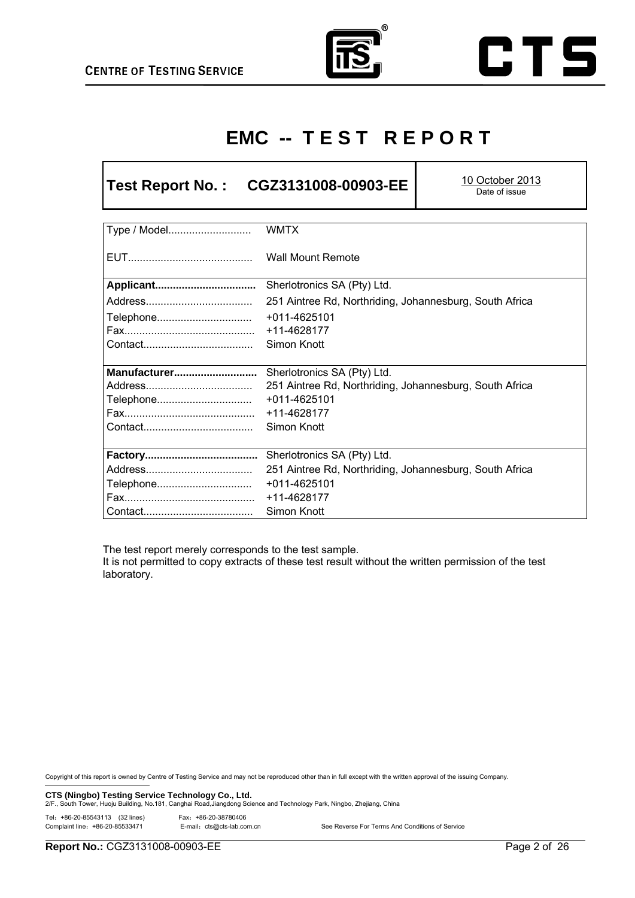



# **EMC -- T E S T R E P O R T**

# **Test Report No. : CGZ3131008-00903-EE** 10 October 2013

Date of issue

| Type / Model | <b>WMTX</b>                                             |
|--------------|---------------------------------------------------------|
|              | <b>Wall Mount Remote</b>                                |
| Applicant    | Sherlotronics SA (Pty) Ltd.                             |
|              | 251 Aintree Rd, Northriding, Johannesburg, South Africa |
| Telephone    | +011-4625101                                            |
|              | +11-4628177                                             |
|              | Simon Knott                                             |
|              |                                                         |
| Manufacturer | Sherlotronics SA (Pty) Ltd.                             |
|              | 251 Aintree Rd, Northriding, Johannesburg, South Africa |
| Telephone    | +011-4625101                                            |
|              | +11-4628177                                             |
|              | Simon Knott                                             |
|              |                                                         |
|              | Sherlotronics SA (Pty) Ltd.                             |
|              | 251 Aintree Rd, Northriding, Johannesburg, South Africa |
| Telephone    | +011-4625101                                            |
|              | +11-4628177                                             |
|              | Simon Knott                                             |

The test report merely corresponds to the test sample.

It is not permitted to copy extracts of these test result without the written permission of the test laboratory.

Copyright of this report is owned by Centre of Testing Service and may not be reproduced other than in full except with the written approval of the issuing Company.

**CTS (Ningbo) Testing Service Technology Co., Ltd.** 2/F., South Tower, Ningbo, Zhejiang, China<br>2/F., South Tower, Huoju Building, No.181, Canghai Road,Jiangdong Science and Technology Park, Ningbo, Zhejiang, China

Tel:+86-20-85543113 (32 lines) Fax:+86-20-38780406

| $101.$ $00 = 0000.0101.0$ $00 = 0000$ |                            |                                                 |
|---------------------------------------|----------------------------|-------------------------------------------------|
| Complaint line: +86-20-85533471       | E-mail: cts@cts-lab.com.cn | See Reverse For Terms And Conditions of Service |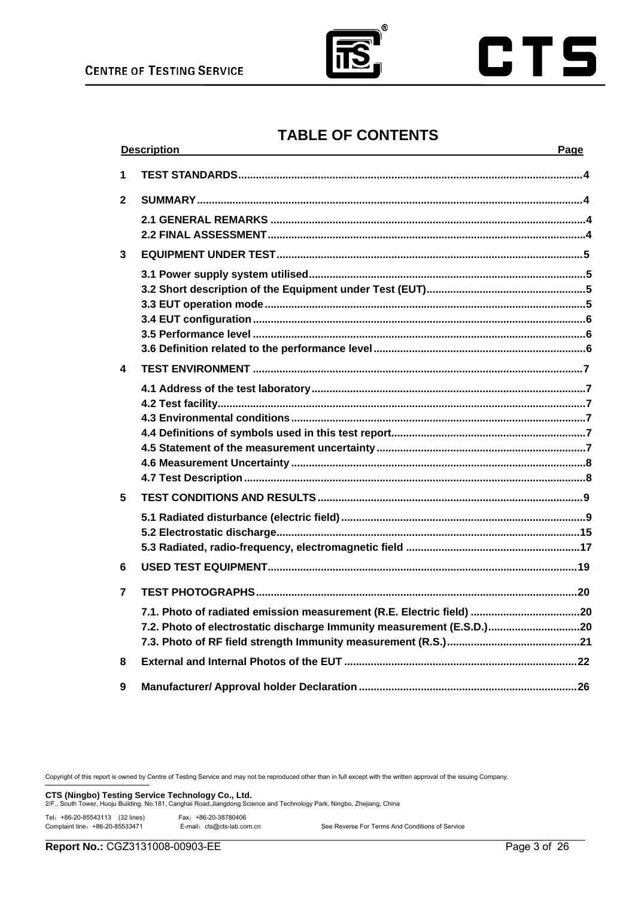



# **TABLE OF CONTENTS**

|              | <b>Description</b>                                                                                                                            | Page |
|--------------|-----------------------------------------------------------------------------------------------------------------------------------------------|------|
| 1            |                                                                                                                                               |      |
| $\mathbf{2}$ |                                                                                                                                               |      |
|              |                                                                                                                                               |      |
| 3            |                                                                                                                                               |      |
|              |                                                                                                                                               |      |
| 4            |                                                                                                                                               |      |
|              |                                                                                                                                               |      |
| 5            |                                                                                                                                               |      |
|              |                                                                                                                                               |      |
| 6            |                                                                                                                                               |      |
| 7            |                                                                                                                                               |      |
|              | 7.1. Photo of radiated emission measurement (R.E. Electric field) 20<br>7.2. Photo of electrostatic discharge Immunity measurement (E.S.D.)20 |      |
| 8            |                                                                                                                                               |      |
| 9            |                                                                                                                                               |      |

Copyright of this report is owned by Centre of Testing Service and may not be reproduced other than in full except with the written approval of the issuing Company.

**CTS (Ningbo) Testing Service Technology Co., Ltd.** 2/F., South Tower, Huoju Building, No.181, Canghai Road,Jiangdong Science and Technology Park, Ningbo, Zhejiang, China

Tel: +86-20-85543113 (32 lines)

| Fax: +86-20-38780406       |                                                 |
|----------------------------|-------------------------------------------------|
| E-mail: cts@cts-lab.com.cn | See Reverse For Terms And Conditions of Service |

Complaint line: +86-20-85533471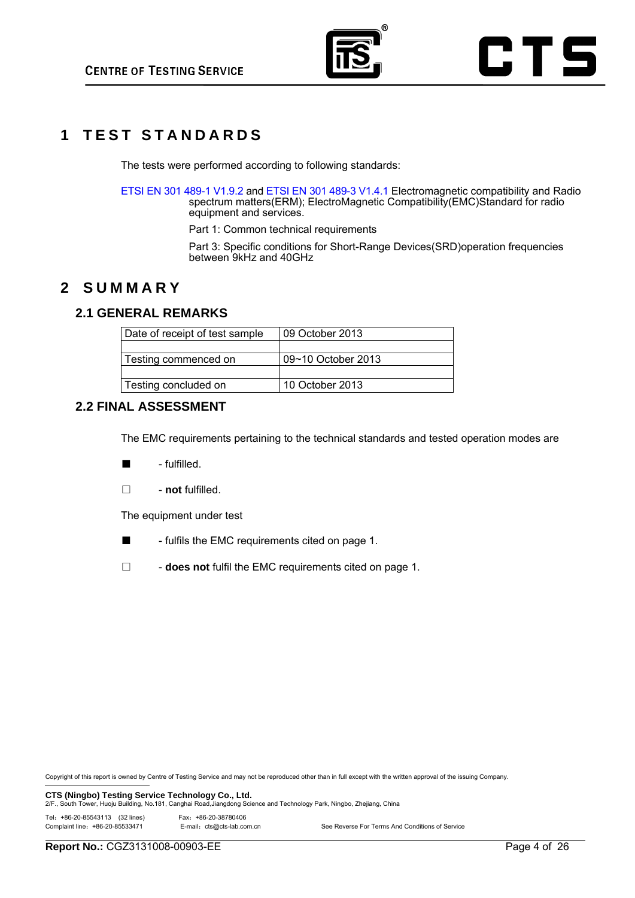

# **1 T E S T S T A N D A R D S**

The tests were performed according to following standards:

ETSI EN 301 489-1 V1.9.2 and ETSI EN 301 489-3 V1.4.1 Electromagnetic compatibility and Radio spectrum matters(ERM); ElectroMagnetic Compatibility(EMC)Standard for radio equipment and services.

Part 1: Common technical requirements

Part 3: Specific conditions for Short-Range Devices(SRD)operation frequencies between 9kHz and 40GHz

# **2 SUMMARY**

## **2.1 GENERAL REMARKS**

| Date of receipt of test sample | 09 October 2013    |
|--------------------------------|--------------------|
|                                |                    |
| Testing commenced on           | 09~10 October 2013 |
|                                |                    |
| Testing concluded on           | 10 October 2013    |
|                                |                    |

## **2.2 FINAL ASSESSMENT**

The EMC requirements pertaining to the technical standards and tested operation modes are

- - fulfilled.
- □ **not** fulfilled.

The equipment under test

■ - fulfils the EMC requirements cited on page 1.

□ **- does not** fulfil the EMC requirements cited on page 1.

Copyright of this report is owned by Centre of Testing Service and may not be reproduced other than in full except with the written approval of the issuing Company.

**CTS (Ningbo) Testing Service Technology Co., Ltd.** 2/F., South Tower, Ningbo, Zhejiang, China<br>2/F., South Tower, Huoju Building, No.181, Canghai Road,Jiangdong Science and Technology Park, Ningbo, Zhejiang, China

Tel:+86-20-85543113 (32 lines) Fax:+86-20-38780406

| Fax: +86-20-38780406       |                                                 |
|----------------------------|-------------------------------------------------|
| E-mail: cts@cts-lab.com.cn | See Reverse For Terms And Conditions of Service |

Complaint line: +86-20-85533471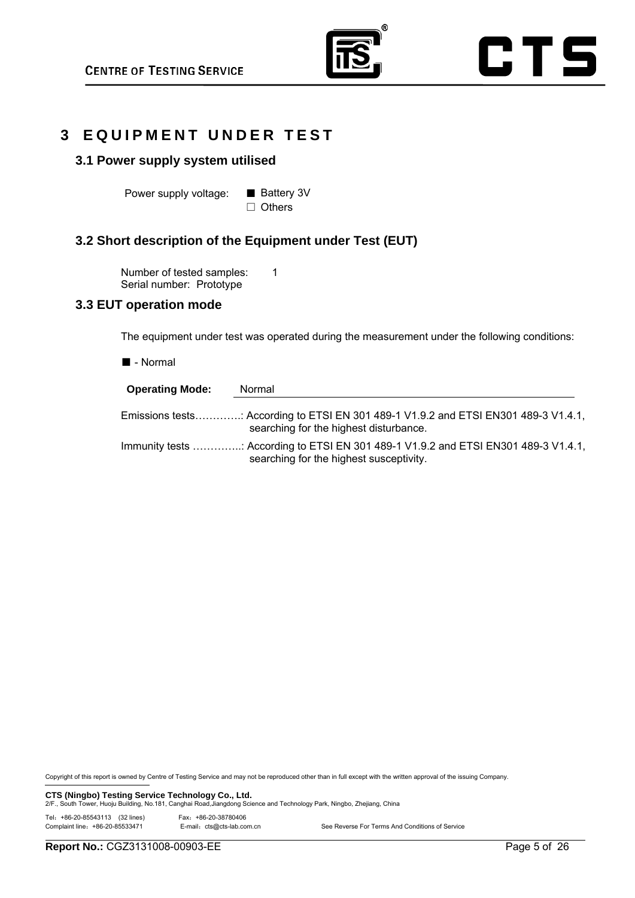





## **3 EQUIPMENT UNDER TEST**

## **3.1 Power supply system utilised**

Power supply voltage: ■ Battery 3V

□ Others

## **3.2 Short description of the Equipment under Test (EUT)**

Number of tested samples: 1 Serial number: Prototype

## **3.3 EUT operation mode**

The equipment under test was operated during the measurement under the following conditions:

■ - Normal

| <b>Operating Mode:</b> | Normal                                                                                                                         |
|------------------------|--------------------------------------------------------------------------------------------------------------------------------|
|                        | Emissions tests: According to ETSI EN 301 489-1 V1.9.2 and ETSI EN301 489-3 V1.4.1,<br>searching for the highest disturbance.  |
|                        | Immunity tests : According to ETSI EN 301 489-1 V1.9.2 and ETSI EN301 489-3 V1.4.1,<br>searching for the highest susceptivity. |

Copyright of this report is owned by Centre of Testing Service and may not be reproduced other than in full except with the written approval of the issuing Company.

**CTS (Ningbo) Testing Service Technology Co., Ltd.** 2/F., South Tower, Ningbo, Zhejiang, China<br>2/F., South Tower, Huoju Building, No.181, Canghai Road,Jiangdong Science and Technology Park, Ningbo, Zhejiang, China

Tel: +86-20-85543113 (32 lines)

| Tel: +86-20-85543113 (32 lines) | Fax: +86-20-38780406       |                                                 |
|---------------------------------|----------------------------|-------------------------------------------------|
| Complaint line: +86-20-85533471 | E-mail: cts@cts-lab.com.cn | See Reverse For Terms And Conditions of Service |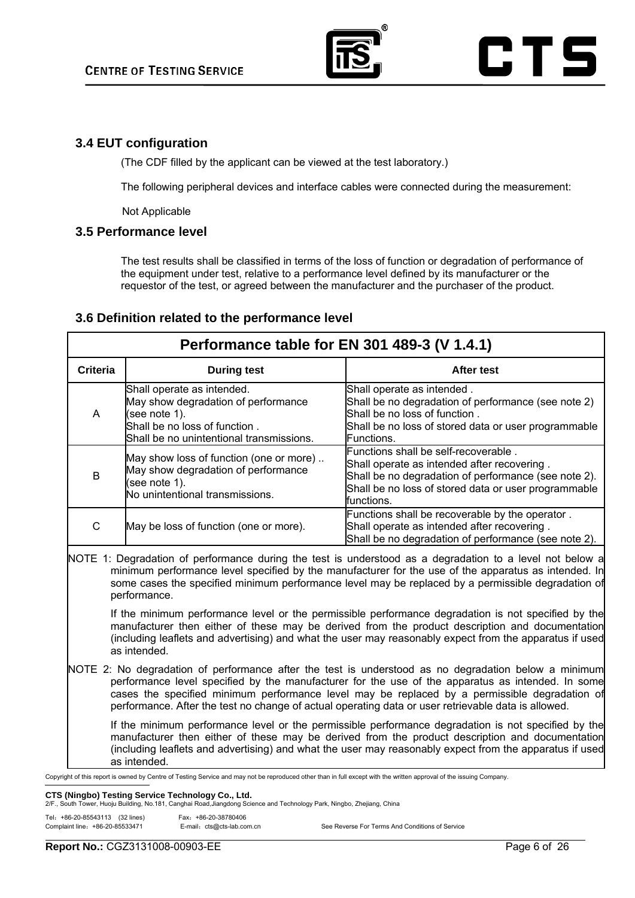

## **3.4 EUT configuration**

(The CDF filled by the applicant can be viewed at the test laboratory.)

The following peripheral devices and interface cables were connected during the measurement:

Not Applicable

## **3.5 Performance level**

The test results shall be classified in terms of the loss of function or degradation of performance of the equipment under test, relative to a performance level defined by its manufacturer or the requestor of the test, or agreed between the manufacturer and the purchaser of the product.

## **3.6 Definition related to the performance level**

| Performance table for EN 301 489-3 (V 1.4.1)                                                                                                                                                                                                                                                                                                                                                                      |                                                                                                                                                                 |                                                                                                                                                                                                                   |
|-------------------------------------------------------------------------------------------------------------------------------------------------------------------------------------------------------------------------------------------------------------------------------------------------------------------------------------------------------------------------------------------------------------------|-----------------------------------------------------------------------------------------------------------------------------------------------------------------|-------------------------------------------------------------------------------------------------------------------------------------------------------------------------------------------------------------------|
| <b>Criteria</b>                                                                                                                                                                                                                                                                                                                                                                                                   | <b>During test</b>                                                                                                                                              | After test                                                                                                                                                                                                        |
| A                                                                                                                                                                                                                                                                                                                                                                                                                 | Shall operate as intended.<br>May show degradation of performance<br>(see note 1).<br>Shall be no loss of function.<br>Shall be no unintentional transmissions. | Shall operate as intended.<br>Shall be no degradation of performance (see note 2)<br>Shall be no loss of function.<br>Shall be no loss of stored data or user programmable<br>Functions.                          |
| B                                                                                                                                                                                                                                                                                                                                                                                                                 | May show loss of function (one or more)<br>May show degradation of performance<br>(see note 1).<br>No unintentional transmissions.                              | Functions shall be self-recoverable.<br>Shall operate as intended after recovering.<br>Shall be no degradation of performance (see note 2).<br>Shall be no loss of stored data or user programmable<br>functions. |
| C                                                                                                                                                                                                                                                                                                                                                                                                                 | May be loss of function (one or more).                                                                                                                          | Functions shall be recoverable by the operator.<br>Shall operate as intended after recovering.<br>Shall be no degradation of performance (see note 2).                                                            |
| NOTE 1: Degradation of performance during the test is understood as a degradation to a level not below a<br>minimum performance level specified by the manufacturer for the use of the apparatus as intended. In<br>some cases the specified minimum performance level may be replaced by a permissible degradation of<br>performance.                                                                            |                                                                                                                                                                 |                                                                                                                                                                                                                   |
| If the minimum performance level or the permissible performance degradation is not specified by the<br>manufacturer then either of these may be derived from the product description and documentation<br>(including leaflets and advertising) and what the user may reasonably expect from the apparatus if used<br>as intended.                                                                                 |                                                                                                                                                                 |                                                                                                                                                                                                                   |
| NOTE 2: No degradation of performance after the test is understood as no degradation below a minimum<br>performance level specified by the manufacturer for the use of the apparatus as intended. In some<br>cases the specified minimum performance level may be replaced by a permissible degradation of<br>performance. After the test no change of actual operating data or user retrievable data is allowed. |                                                                                                                                                                 |                                                                                                                                                                                                                   |
| If the minimum performance level or the permissible performance degradation is not specified by the<br>manufacturer then either of these may be derived from the product description and documentation<br>(including leaflets and advertising) and what the user may reasonably expect from the apparatus if used<br>as intended.                                                                                 |                                                                                                                                                                 |                                                                                                                                                                                                                   |

## Copyright of this report is owned by Centre of Testing Service and may not be reproduced other than in full except with the written approval of the issuing Company.

**CTS (Ningbo) Testing Service Technology Co., Ltd.**<br>2/F., South Tower, Huoju Building, No.181, Canghai Road,Jiangdong Science and Technology Park, Ningbo, Zhejiang, China

| Tel: +86-20-85543113 (32 lines) | Fax: +86-20-38780406       |                                                 |
|---------------------------------|----------------------------|-------------------------------------------------|
| Complaint line: +86-20-85533471 | E-mail: cts@cts-lab.com.cn | See Reverse For Terms And Conditions of Service |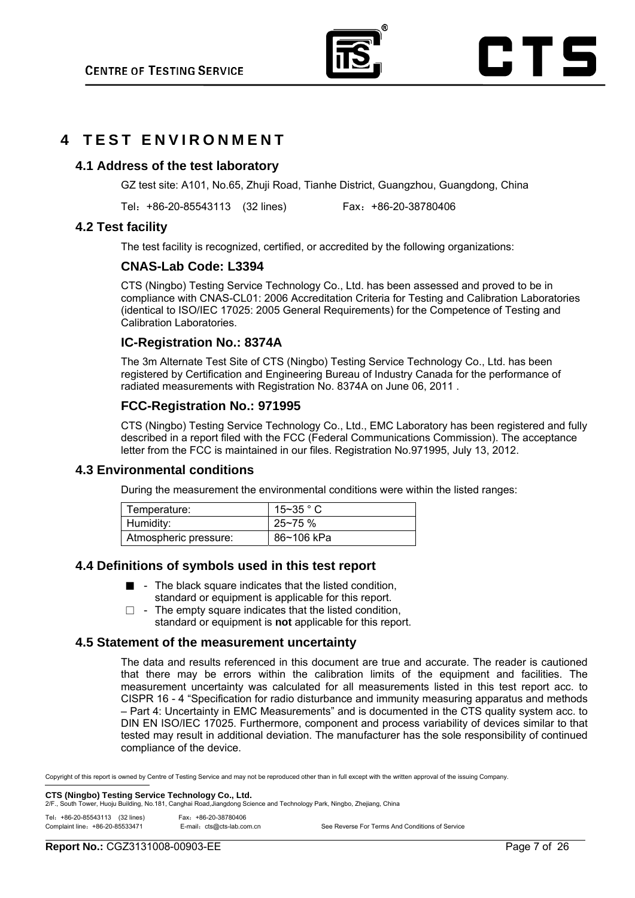

## **4 TEST ENVIRONMENT**

## **4.1 Address of the test laboratory**

GZ test site: A101, No.65, Zhuji Road, Tianhe District, Guangzhou, Guangdong, China

Tel:+86-20-85543113 (32 lines) Fax:+86-20-38780406

## **4.2 Test facility**

The test facility is recognized, certified, or accredited by the following organizations:

## **CNAS-Lab Code: L3394**

CTS (Ningbo) Testing Service Technology Co., Ltd. has been assessed and proved to be in compliance with CNAS-CL01: 2006 Accreditation Criteria for Testing and Calibration Laboratories (identical to ISO/IEC 17025: 2005 General Requirements) for the Competence of Testing and Calibration Laboratories.

## **IC-Registration No.: 8374A**

The 3m Alternate Test Site of CTS (Ningbo) Testing Service Technology Co., Ltd. has been registered by Certification and Engineering Bureau of Industry Canada for the performance of radiated measurements with Registration No. 8374A on June 06, 2011 .

## **FCC-Registration No.: 971995**

CTS (Ningbo) Testing Service Technology Co., Ltd., EMC Laboratory has been registered and fully described in a report filed with the FCC (Federal Communications Commission). The acceptance letter from the FCC is maintained in our files. Registration No.971995, July 13, 2012.

## **4.3 Environmental conditions**

During the measurement the environmental conditions were within the listed ranges:

| Temperature:          | $15 - 35$ $^{\circ}$ C |
|-----------------------|------------------------|
| Humidity:             | $25 - 75%$             |
| Atmospheric pressure: | 86~106 kPa             |

## **4.4 Definitions of symbols used in this test report**

- - The black square indicates that the listed condition, standard or equipment is applicable for this report.
- $\Box$  The empty square indicates that the listed condition, standard or equipment is **not** applicable for this report.

## **4.5 Statement of the measurement uncertainty**

The data and results referenced in this document are true and accurate. The reader is cautioned that there may be errors within the calibration limits of the equipment and facilities. The measurement uncertainty was calculated for all measurements listed in this test report acc. to CISPR 16 - 4 "Specification for radio disturbance and immunity measuring apparatus and methods – Part 4: Uncertainty in EMC Measurements" and is documented in the CTS quality system acc. to DIN EN ISO/IEC 17025. Furthermore, component and process variability of devices similar to that tested may result in additional deviation. The manufacturer has the sole responsibility of continued compliance of the device.

Copyright of this report is owned by Centre of Testing Service and may not be reproduced other than in full except with the written approval of the issuing Company.

**CTS (Ningbo) Testing Service Technology Co., Ltd.** 2015 20 and Technology Park, Ningbo, Zheilang, China<br>2/F., South Tower, Huoju Building, No.181, Canghai Road,Jiangdong Science and Technology Park, Ningbo, Zheilang, Chin

| Tel: +86-20-85543113 (32 lines) | Fax: +86-20-38780406       |                                                 |
|---------------------------------|----------------------------|-------------------------------------------------|
| Complaint line: +86-20-85533471 | E-mail: cts@cts-lab.com.cn | See Reverse For Terms And Conditions of Service |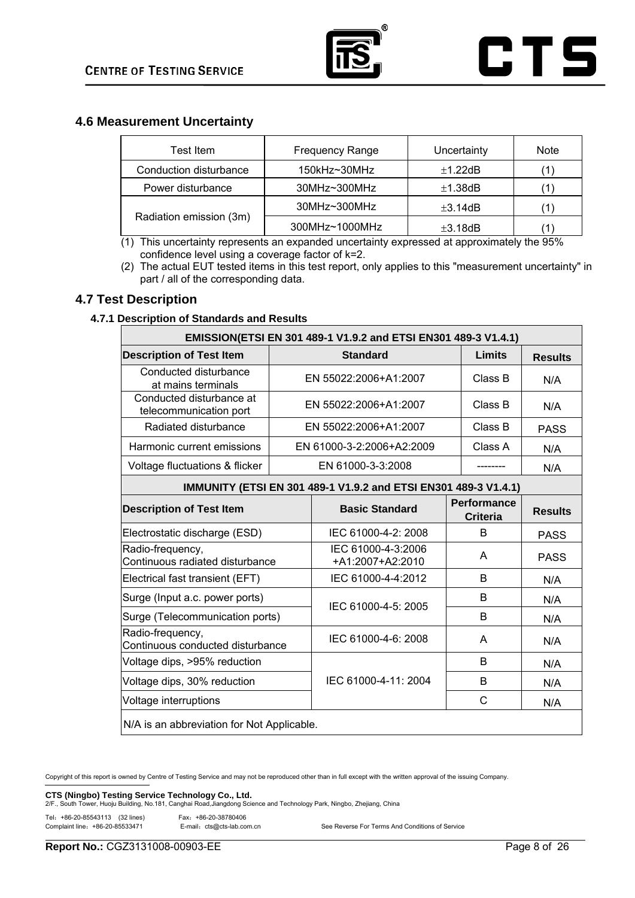

## **4.6 Measurement Uncertainty**

| Test Item               | <b>Frequency Range</b> | Uncertainty   | <b>Note</b> |
|-------------------------|------------------------|---------------|-------------|
| Conduction disturbance  | 150kHz~30MHz           | ±1.22dB       |             |
| Power disturbance       | $30MHz \sim 300MHz$    | ±1.38dB       |             |
|                         | $30MHz \sim 300MHz$    | $\pm 3.14$ dB |             |
| Radiation emission (3m) | 300MHz~1000MHz         | $\pm 3.18$ dB |             |

 $(1)$  This uncertainty represents an expanded uncertainty expressed at approximately the 95% confidence level using a coverage factor of k=2.

(2) The actual EUT tested items in this test report, only applies to this "measurement uncertainty" in part / all of the corresponding data.

## **4.7 Test Description**

## **4.7.1 Description of Standards and Results**

| EMISSION(ETSI EN 301 489-1 V1.9.2 and ETSI EN301 489-3 V1.4.1) |                      |                                                                 |        |                                       |                |  |  |  |  |  |  |
|----------------------------------------------------------------|----------------------|-----------------------------------------------------------------|--------|---------------------------------------|----------------|--|--|--|--|--|--|
| <b>Description of Test Item</b>                                | <b>Standard</b>      |                                                                 | Limits | <b>Results</b>                        |                |  |  |  |  |  |  |
| Conducted disturbance<br>at mains terminals                    |                      | EN 55022:2006+A1:2007                                           |        | Class B                               | N/A            |  |  |  |  |  |  |
| Conducted disturbance at<br>telecommunication port             |                      | EN 55022:2006+A1:2007                                           |        | Class B                               | N/A            |  |  |  |  |  |  |
| Radiated disturbance                                           |                      | EN 55022:2006+A1:2007                                           |        | Class B                               | <b>PASS</b>    |  |  |  |  |  |  |
| Harmonic current emissions                                     |                      | EN 61000-3-2:2006+A2:2009                                       |        | Class A                               | N/A            |  |  |  |  |  |  |
| Voltage fluctuations & flicker                                 |                      | EN 61000-3-3:2008                                               |        |                                       | N/A            |  |  |  |  |  |  |
|                                                                |                      | IMMUNITY (ETSI EN 301 489-1 V1.9.2 and ETSI EN301 489-3 V1.4.1) |        |                                       |                |  |  |  |  |  |  |
| <b>Description of Test Item</b>                                |                      | <b>Basic Standard</b>                                           |        | <b>Performance</b><br><b>Criteria</b> | <b>Results</b> |  |  |  |  |  |  |
| Electrostatic discharge (ESD)                                  |                      | IEC 61000-4-2: 2008                                             |        | B                                     | <b>PASS</b>    |  |  |  |  |  |  |
| Radio-frequency,<br>Continuous radiated disturbance            |                      | IEC 61000-4-3:2006<br>+A1:2007+A2:2010                          |        | A                                     | <b>PASS</b>    |  |  |  |  |  |  |
| Electrical fast transient (EFT)                                |                      | IEC 61000-4-4:2012                                              |        | B                                     | N/A            |  |  |  |  |  |  |
| Surge (Input a.c. power ports)                                 |                      |                                                                 |        | B                                     | N/A            |  |  |  |  |  |  |
| Surge (Telecommunication ports)                                |                      | IEC 61000-4-5: 2005                                             |        | B                                     | N/A            |  |  |  |  |  |  |
| Radio-frequency,<br>Continuous conducted disturbance           |                      | IEC 61000-4-6: 2008                                             |        | A                                     | N/A            |  |  |  |  |  |  |
| Voltage dips, >95% reduction                                   |                      |                                                                 |        | B                                     | N/A            |  |  |  |  |  |  |
| Voltage dips, 30% reduction                                    | IEC 61000-4-11: 2004 |                                                                 | B      | N/A                                   |                |  |  |  |  |  |  |
| Voltage interruptions                                          |                      |                                                                 | C      | N/A                                   |                |  |  |  |  |  |  |
| N/A is an abbreviation for Not Applicable.                     |                      |                                                                 |        |                                       |                |  |  |  |  |  |  |

Copyright of this report is owned by Centre of Testing Service and may not be reproduced other than in full except with the written approval of the issuing Company.

**CTS (Ningbo) Testing Service Technology Co., Ltd.** 2/F., South Tower, Huoju Building, No.181, Canghai Road,Jiangdong Science and Technology Park, Ningbo, Zhejiang, China

Tel: +86-20-85543113 (32 lines) Fax: +86-20-38780406<br>Complaint line: +86-20-85533471 E-mail: cts@cts-lab.com

|  |  |  |  |  | E-mail: cts@cts-lab.com.cn |  |
|--|--|--|--|--|----------------------------|--|

See Reverse For Terms And Conditions of Service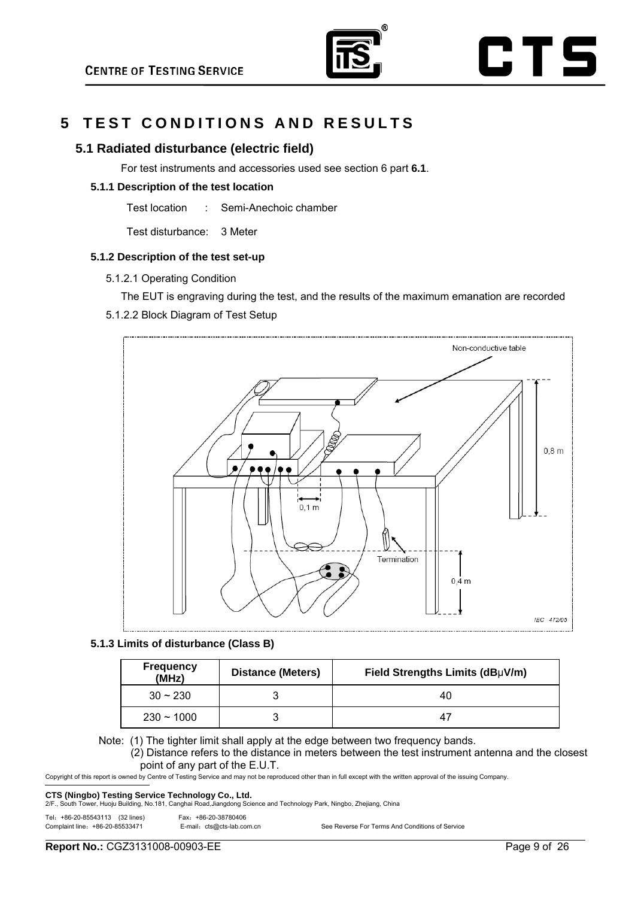

# **5 TEST CONDITIONS AND RESULTS**

## **5.1 Radiated disturbance (electric field)**

For test instruments and accessories used see section 6 part **6.1**.

## **5.1.1 Description of the test location**

Test location : Semi-Anechoic chamber

Test disturbance: 3 Meter

## **5.1.2 Description of the test set-up**

- 5.1.2.1 Operating Condition
	- The EUT is engraving during the test, and the results of the maximum emanation are recorded

## 5.1.2.2 Block Diagram of Test Setup



## **5.1.3 Limits of disturbance (Class B)**

| <b>Frequency</b><br>(MHz) | <b>Distance (Meters)</b> | Field Strengths Limits (dBµV/m) |  |  |  |  |
|---------------------------|--------------------------|---------------------------------|--|--|--|--|
| $30 \sim 230$             |                          | 40                              |  |  |  |  |
| $230 - 1000$              |                          |                                 |  |  |  |  |

Note: (1) The tighter limit shall apply at the edge between two frequency bands.

(2) Distance refers to the distance in meters between the test instrument antenna and the closest point of any part of the E.U.T.

Copyright of this report is owned by Centre of Testing Service and may not be reproduced other than in full except with the written approval of the issuing Company.

**CTS (Ningbo) Testing Service Technology Co., Ltd.** 2/F., South Tower, Ningbo, Zheilang. China<br>2/F., South Tower, Huoju Building, No.181, Canghai Road,Jiangdong Science and Technology Park, Ningbo, Zheilang. China

Tel:+86-20-85543113 (32 lines) Fax:+86-20-38780406

Complaint line:+86-20-85533471 E-mail:cts@cts-lab.com.cn See Reverse For Terms And Conditions of Service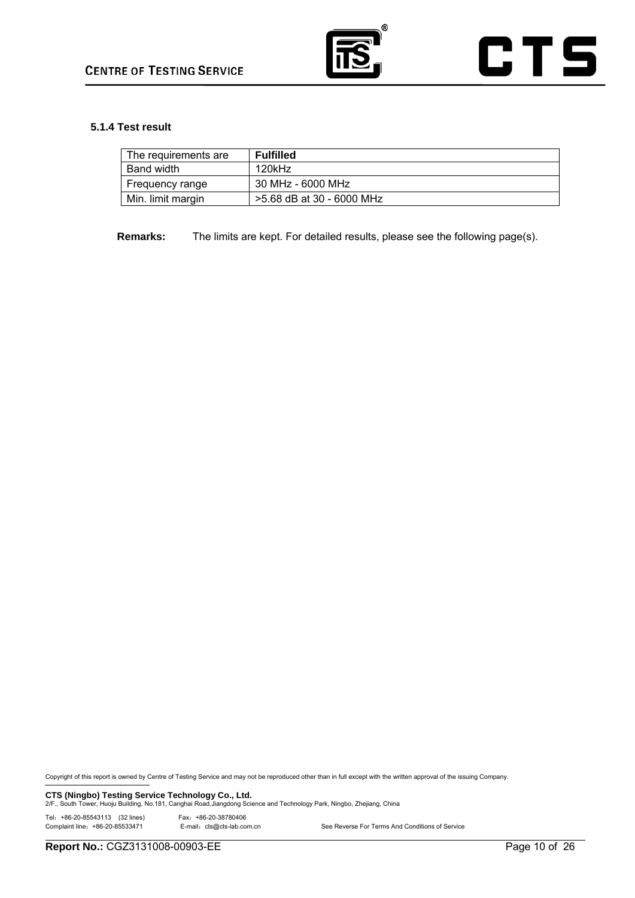

## **5.1.4 Test result**

| The requirements are | <b>Fulfilled</b>          |
|----------------------|---------------------------|
| Band width           | 120kHz                    |
| Frequency range      | 30 MHz - 6000 MHz         |
| Min. limit margin    | >5.68 dB at 30 - 6000 MHz |

**Remarks:** The limits are kept. For detailed results, please see the following page(s).

Copyright of this report is owned by Centre of Testing Service and may not be reproduced other than in full except with the written approval of the issuing Company.

**CTS (Ningbo) Testing Service Technology Co., Ltd.** 2/F., South Tower, Ningbo, Zhejiang, China<br>2/F., South Tower, Huoju Building, No.181, Canghai Road,Jiangdong Science and Technology Park, Ningbo, Zhejiang, China

Tel:+86-20-85543113 (32 lines) Fax:+86-20-38780406

E-mail: cts@cts-lab.com.cn See Reverse For Terms And Conditions of Service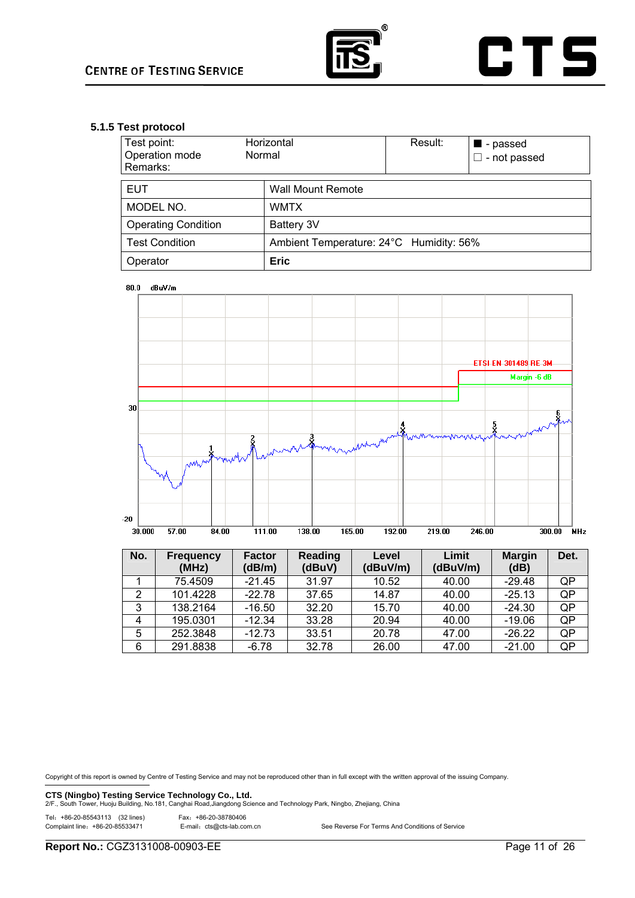

## **5.1.5 Test protocol**

| Test point:<br>Operation mode<br>Remarks:                        | Horizontal<br>Normal     | Result: | ■ - passed<br>$\square$ - not passed |  |  |  |
|------------------------------------------------------------------|--------------------------|---------|--------------------------------------|--|--|--|
| <b>EUT</b>                                                       | <b>Wall Mount Remote</b> |         |                                      |  |  |  |
| MODEL NO.                                                        | <b>WMTX</b>              |         |                                      |  |  |  |
| <b>Operating Condition</b>                                       | Battery 3V               |         |                                      |  |  |  |
| Ambient Temperature: 24°C Humidity: 56%<br><b>Test Condition</b> |                          |         |                                      |  |  |  |
| Operator                                                         | <b>Eric</b>              |         |                                      |  |  |  |

80.0 dBuV/m



| No.            | <b>Frequency</b><br>(MHz) | <b>Factor</b><br>(dB/m) | Reading<br>(dBuV) | Level<br>(dBuV/m) | Limit<br>(dBuV/m) | <b>Margin</b><br>(dB) | Det. |
|----------------|---------------------------|-------------------------|-------------------|-------------------|-------------------|-----------------------|------|
|                | 75.4509                   | $-21.45$                | 31.97             | 10.52             | 40.00             | $-29.48$              | QP   |
| 2              | 101.4228                  | $-22.78$                | 37.65             | 14.87             | 40.00             | $-25.13$              | QP   |
| 3              | 138.2164                  | $-16.50$                | 32.20             | 15.70             | 40.00             | $-24.30$              | QP   |
| $\overline{4}$ | 195.0301                  | $-12.34$                | 33.28             | 20.94             | 40.00             | $-19.06$              | QP   |
| 5              | 252.3848                  | $-12.73$                | 33.51             | 20.78             | 47.00             | $-26.22$              | QP   |
| 6              | 291.8838                  | $-6.78$                 | 32.78             | 26.00             | 47.00             | $-21.00$              | QP   |

Copyright of this report is owned by Centre of Testing Service and may not be reproduced other than in full except with the written approval of the issuing Company.

**CTS (Ningbo) Testing Service Technology Co., Ltd.** 2/F., South Tower, Ningbo, Zhejiang, China<br>2/F., South Tower, Huoju Building, No.181, Canghai Road,Jiangdong Science and Technology Park, Ningbo, Zhejiang, China

Tel:+86-20-85543113 (32 lines) Fax:+86-20-38780406

E-mail: cts@cts-lab.com.cn See Reverse For Terms And Conditions of Service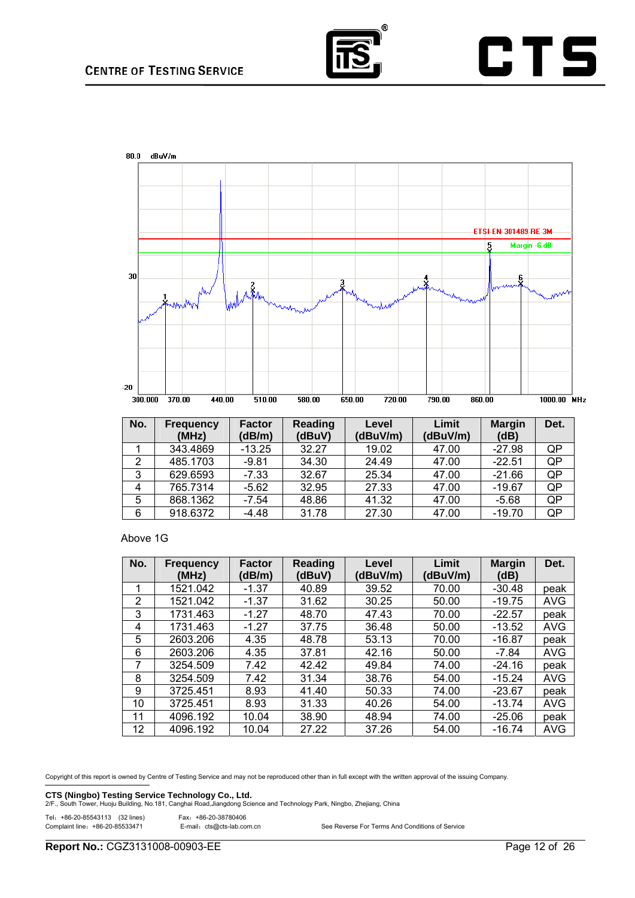

# **CTS**



| No. | <b>Frequency</b><br>(MHz) | <b>Factor</b><br>(dB/m) | Reading<br>(dBuV) | Level<br>(dBuV/m) | Limit<br>(dBuV/m) | <b>Margin</b><br>(dB) | Det. |
|-----|---------------------------|-------------------------|-------------------|-------------------|-------------------|-----------------------|------|
|     | 343.4869                  | $-13.25$                | 32.27             | 19.02             | 47.00             | $-27.98$              | QP   |
| 2   | 485.1703                  | $-9.81$                 | 34.30             | 24.49             | 47.00             | $-22.51$              | QP   |
| 3   | 629.6593                  | $-7.33$                 | 32.67             | 25.34             | 47.00             | $-21.66$              | QP   |
| 4   | 765.7314                  | $-5.62$                 | 32.95             | 27.33             | 47.00             | $-19.67$              | QP   |
| 5   | 868.1362                  | $-7.54$                 | 48.86             | 41.32             | 47.00             | $-5.68$               | QP   |
| 6   | 918.6372                  | $-4.48$                 | 31.78             | 27.30             | 47.00             | $-19.70$              | QP   |

## Above 1G

| No.             | <b>Frequency</b><br>(MHz) | <b>Factor</b><br>(dB/m) | Reading<br>(dBuV) | Level<br>(dBuV/m) | Limit<br>(dBuV/m) | <b>Margin</b><br>(dB) | Det.       |
|-----------------|---------------------------|-------------------------|-------------------|-------------------|-------------------|-----------------------|------------|
| 1               | 1521.042                  | $-1.37$                 | 40.89             | 39.52             | 70.00             | $-30.48$              | peak       |
| $\overline{2}$  | 1521.042                  | $-1.37$                 | 31.62             | 30.25             | 50.00             | $-19.75$              | <b>AVG</b> |
| 3               | 1731.463                  | $-1.27$                 | 48.70             | 47.43             | 70.00             | $-22.57$              | peak       |
| 4               | 1731.463                  | $-1.27$                 | 37.75             | 36.48             | 50.00             | $-13.52$              | <b>AVG</b> |
| 5               | 2603.206                  | 4.35                    | 48.78             | 53.13             | 70.00             | $-16.87$              | peak       |
| 6               | 2603.206                  | 4.35                    | 37.81             | 42.16             | 50.00             | $-7.84$               | <b>AVG</b> |
| 7               | 3254.509                  | 7.42                    | 42.42             | 49.84             | 74.00             | $-24.16$              | peak       |
| 8               | 3254.509                  | 7.42                    | 31.34             | 38.76             | 54.00             | $-15.24$              | <b>AVG</b> |
| 9               | 3725.451                  | 8.93                    | 41.40             | 50.33             | 74.00             | $-23.67$              | peak       |
| 10              | 3725.451                  | 8.93                    | 31.33             | 40.26             | 54.00             | $-13.74$              | <b>AVG</b> |
| 11              | 4096.192                  | 10.04                   | 38.90             | 48.94             | 74.00             | $-25.06$              | peak       |
| 12 <sup>°</sup> | 4096.192                  | 10.04                   | 27.22             | 37.26             | 54.00             | $-16.74$              | <b>AVG</b> |

Copyright of this report is owned by Centre of Testing Service and may not be reproduced other than in full except with the written approval of the issuing Company.

**CTS (Ningbo) Testing Service Technology Co., Ltd.** 2/F., South Tower, Ningbo, Zhejiang, China<br>2/F., South Tower, Huoju Building, No.181, Canghai Road,Jiangdong Science and Technology Park, Ningbo, Zhejiang, China

## Tel:+86-20-85543113 (32 lines) Fax:+86-20-38780406

| $1 \text{ CI:}$ TOU-ZU-00040110 (OZ IIIIES) | FAX: TOU-ZU-JOIOU4UU       |                                                 |
|---------------------------------------------|----------------------------|-------------------------------------------------|
| Complaint line: +86-20-85533471             | E-mail: cts@cts-lab.com.cn | See Reverse For Terms And Conditions of Service |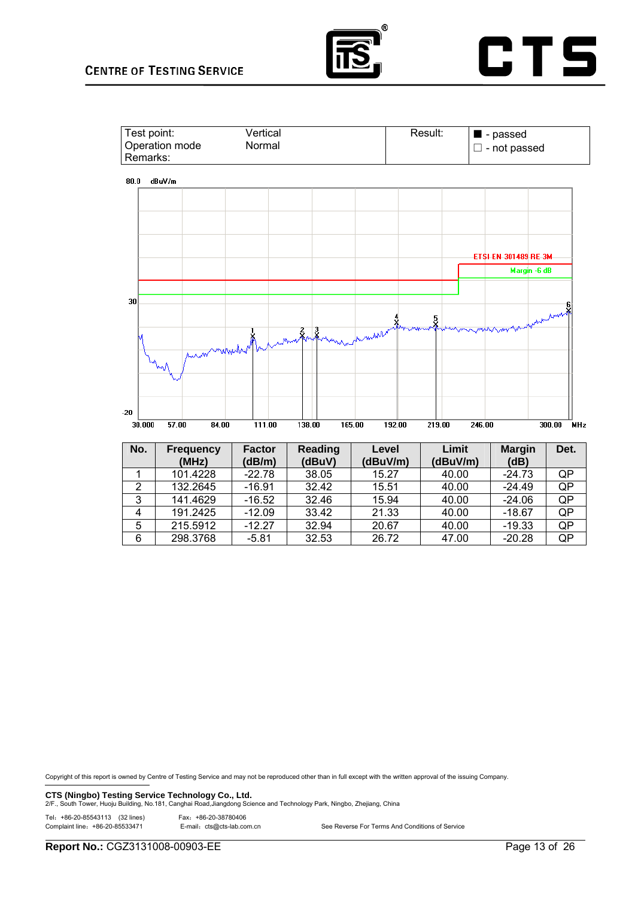## **CENTRE OF TESTING SERVICE**







| NO. | <b>Frequency</b><br>(MHz) | Factor<br>(dB/m) | Reading<br>(dBuV) | Level<br>(dBuV/m) | Limit<br>(dBuV/m) | Margin<br>(dB) | Det. |
|-----|---------------------------|------------------|-------------------|-------------------|-------------------|----------------|------|
|     | 101.4228                  | $-22.78$         | 38.05             | 15.27             | 40.00             | $-24.73$       | QP   |
| 2   | 132.2645                  | $-16.91$         | 32.42             | 15.51             | 40.00             | $-24.49$       | QP   |
| 3   | 141.4629                  | $-16.52$         | 32.46             | 15.94             | 40.00             | $-24.06$       | QP   |
| 4   | 191.2425                  | $-12.09$         | 33.42             | 21.33             | 40.00             | $-18.67$       | QP   |
| 5   | 215.5912                  | $-12.27$         | 32.94             | 20.67             | 40.00             | $-19.33$       | QP   |
| 6   | 298.3768                  | $-5.81$          | 32.53             | 26.72             | 47.00             | $-20.28$       | QP   |

Copyright of this report is owned by Centre of Testing Service and may not be reproduced other than in full except with the written approval of the issuing Company.

**CTS (Ningbo) Testing Service Technology Co., Ltd.**<br>2/F., South Tower, Huoju Building, No.181, Canghai Road,Jiangdong Science and Technology Park, Ningbo, Zhejiang, China

Tel:+86-20-85543113 (32 lines) Fax:+86-20-38780406

| Complaint line: +86-20-85533471 | E-mail: cts@cts-lab.com.cn | See Reverse For Terms And Conditions of Service |
|---------------------------------|----------------------------|-------------------------------------------------|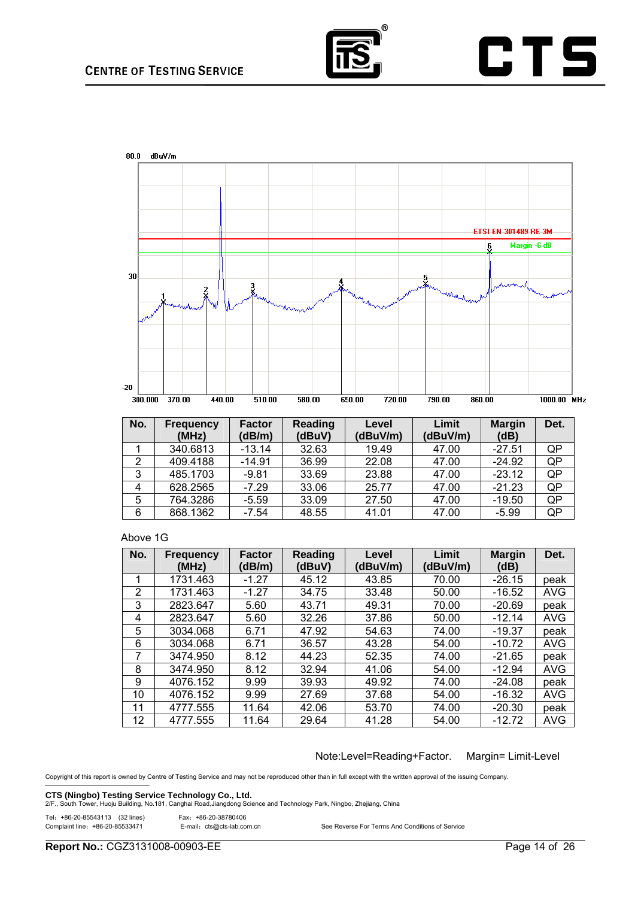

# **CTS**



| No. | Frequency<br>(MHz) | <b>Factor</b><br>(dB/m) | Reading<br>(dBuV) | Level<br>(dBuV/m) | Limit<br>(dBuV/m) | <b>Margin</b><br>(dB) | Det. |
|-----|--------------------|-------------------------|-------------------|-------------------|-------------------|-----------------------|------|
|     | 340.6813           | $-13.14$                | 32.63             | 19.49             | 47.00             | $-27.51$              | QP   |
| 2   | 409.4188           | $-14.91$                | 36.99             | 22.08             | 47.00             | $-24.92$              | QP   |
| 3   | 485.1703           | $-9.81$                 | 33.69             | 23.88             | 47.00             | $-23.12$              | QP   |
| 4   | 628.2565           | $-7.29$                 | 33.06             | 25.77             | 47.00             | $-21.23$              | QP   |
| 5   | 764.3286           | $-5.59$                 | 33.09             | 27.50             | 47.00             | $-19.50$              | QP   |
| 6   | 868.1362           | $-7.54$                 | 48.55             | 41.01             | 47.00             | $-5.99$               | QP   |

## Above 1G

| No. | <b>Frequency</b> | <b>Factor</b> | Reading | Level    | Limit    | <b>Margin</b> | Det.       |
|-----|------------------|---------------|---------|----------|----------|---------------|------------|
|     | (MHz)            | (dB/m)        | (dBuV)  | (dBuV/m) | (dBuV/m) | (dB)          |            |
| 1   | 1731.463         | $-1.27$       | 45.12   | 43.85    | 70.00    | $-26.15$      | peak       |
| 2   | 1731.463         | $-1.27$       | 34.75   | 33.48    | 50.00    | $-16.52$      | <b>AVG</b> |
| 3   | 2823.647         | 5.60          | 43.71   | 49.31    | 70.00    | -20.69        | peak       |
| 4   | 2823.647         | 5.60          | 32.26   | 37.86    | 50.00    | $-12.14$      | <b>AVG</b> |
| 5   | 3034.068         | 6.71          | 47.92   | 54.63    | 74.00    | $-19.37$      | peak       |
| 6   | 3034.068         | 6.71          | 36.57   | 43.28    | 54.00    | $-10.72$      | <b>AVG</b> |
| 7   | 3474.950         | 8.12          | 44.23   | 52.35    | 74.00    | $-21.65$      | peak       |
| 8   | 3474.950         | 8.12          | 32.94   | 41.06    | 54.00    | $-12.94$      | <b>AVG</b> |
| 9   | 4076.152         | 9.99          | 39.93   | 49.92    | 74.00    | $-24.08$      | peak       |
| 10  | 4076.152         | 9.99          | 27.69   | 37.68    | 54.00    | $-16.32$      | <b>AVG</b> |
| 11  | 4777.555         | 11.64         | 42.06   | 53.70    | 74.00    | $-20.30$      | peak       |
| 12  | 4777.555         | 11.64         | 29.64   | 41.28    | 54.00    | $-12.72$      | <b>AVG</b> |

Note:Level=Reading+Factor. Margin= Limit-Level

Copyright of this report is owned by Centre of Testing Service and may not be reproduced other than in full except with the written approval of the issuing Company.

**CTS (Ningbo) Testing Service Technology Co., Ltd.** 2/F., South Tower, Ningbo, Zhejiang, China<br>2/F., South Tower, Huoju Building, No.181, Canghai Road,Jiangdong Science and Technology Park, Ningbo, Zhejiang, China

# Tel: +86-20-85543113 (32 lines) Fax: +86-20-38780406<br>Complaint line: +86-20-85533471 E-mail: cts@cts-lab.co

E-mail: cts@cts-lab.com.cn See Reverse For Terms And Conditions of Service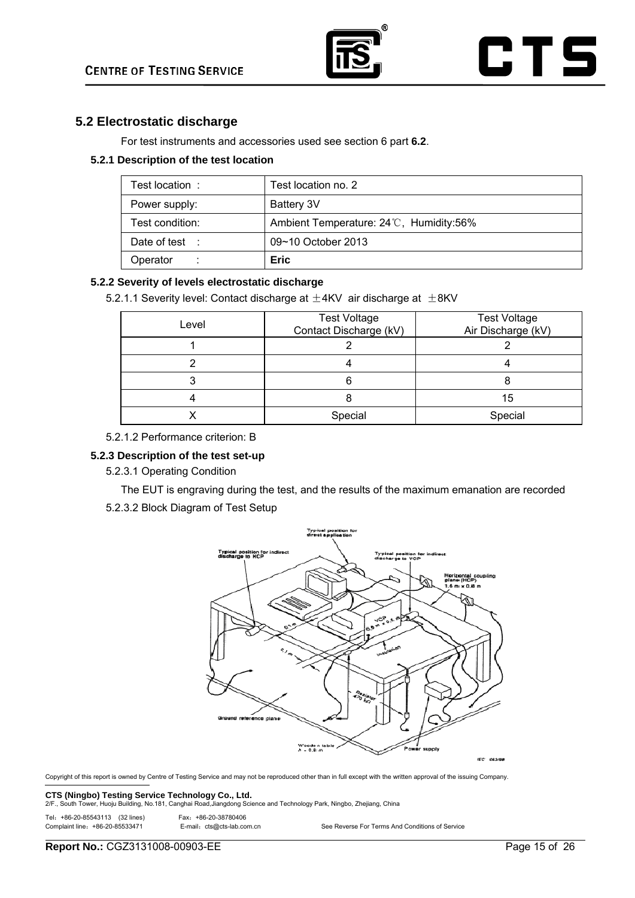

## **5.2 Electrostatic discharge**

For test instruments and accessories used see section 6 part **6.2**.

## **5.2.1 Description of the test location**

| Test location :           | Test location no. 2                     |
|---------------------------|-----------------------------------------|
| Power supply:             | Battery 3V                              |
| Test condition:           | Ambient Temperature: 24°C, Humidity:56% |
| Date of test $\therefore$ | 09~10 October 2013                      |
| Operator<br>÷             | <b>Eric</b>                             |

## **5.2.2 Severity of levels electrostatic discharge**

5.2.1.1 Severity level: Contact discharge at  $\pm$ 4KV air discharge at  $\pm$ 8KV

| Level | <b>Test Voltage</b><br>Contact Discharge (kV) | <b>Test Voltage</b><br>Air Discharge (kV) |
|-------|-----------------------------------------------|-------------------------------------------|
|       |                                               |                                           |
|       |                                               |                                           |
|       |                                               |                                           |
|       |                                               | 15                                        |
|       | Special                                       | Special                                   |

5.2.1.2 Performance criterion: B

## **5.2.3 Description of the test set-up**

5.2.3.1 Operating Condition

The EUT is engraving during the test, and the results of the maximum emanation are recorded

5.2.3.2 Block Diagram of Test Setup



Copyright of this report is owned by Centre of Testing Service and may not be reproduced other than in full except with the written approval of the issuing Company.

**CTS (Ningbo) Testing Service Technology Co., Ltd.** 2/F., South Tower, Ningbo, Zhejiang, China<br>2/F., South Tower, Huoju Building, No.181, Canghai Road,Jiangdong Science and Technology Park, Ningbo, Zhejiang, China

Tel:+86-20-85543113 (32 lines) Fax:+86-20-38780406

| - Fax: +86-20-38780406     |                                                 |
|----------------------------|-------------------------------------------------|
| E-mail: cts@cts-lab.com.cn | See Reverse For Terms And Conditions of Service |

Complaint line: +86-20-85533471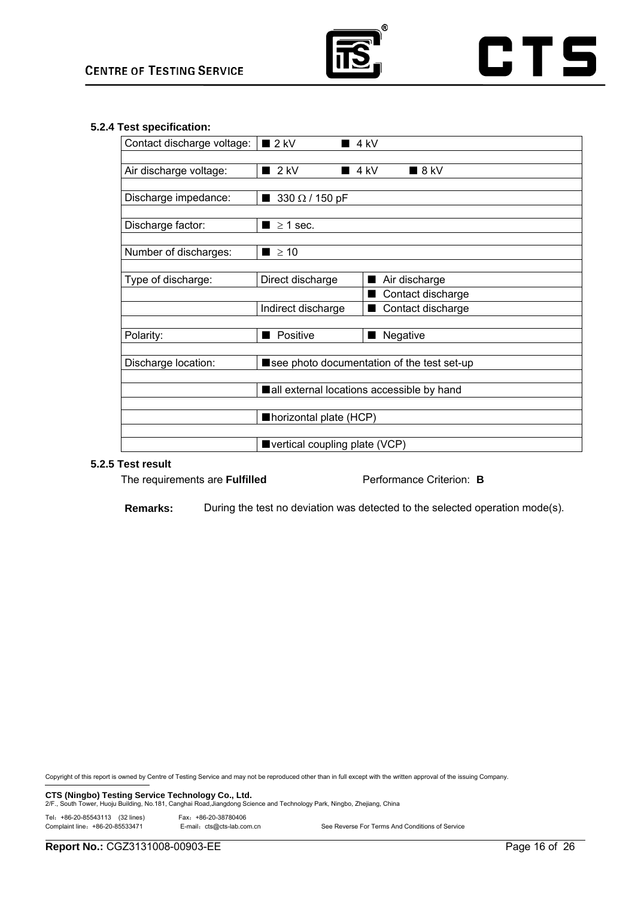

## **5.2.4 Test specification:**

| $2$ kV                       | $\blacksquare$ 4 kV                                                                                                        |  |
|------------------------------|----------------------------------------------------------------------------------------------------------------------------|--|
| $2$ kV                       | $4$ kV<br>$\blacksquare$ 8 kV                                                                                              |  |
| 330 $\Omega$ / 150 pF        |                                                                                                                            |  |
| $\blacksquare$ $\geq$ 1 sec. |                                                                                                                            |  |
| $\blacksquare$ $\geq$ 10     |                                                                                                                            |  |
| Direct discharge             | Air discharge                                                                                                              |  |
|                              | Contact discharge                                                                                                          |  |
|                              | Contact discharge                                                                                                          |  |
|                              |                                                                                                                            |  |
|                              | ■ Negative                                                                                                                 |  |
|                              | See photo documentation of the test set-up                                                                                 |  |
|                              | all external locations accessible by hand                                                                                  |  |
|                              |                                                                                                                            |  |
|                              |                                                                                                                            |  |
|                              |                                                                                                                            |  |
|                              | Contact discharge voltage:<br>Indirect discharge<br>Positive<br>Inorizontal plate (HCP)<br>■ vertical coupling plate (VCP) |  |

## **5.2.5 Test result**

The requirements are **Fulfilled** Performance Criterion: **B** 

**Remarks:** During the test no deviation was detected to the selected operation mode(s).

Copyright of this report is owned by Centre of Testing Service and may not be reproduced other than in full except with the written approval of the issuing Company.

**CTS (Ningbo) Testing Service Technology Co., Ltd.** 2/F., South Tower, Ningbo, Zhejiang, China<br>2/F., South Tower, Huoju Building, No.181, Canghai Road,Jiangdong Science and Technology Park, Ningbo, Zhejiang, China

Tel:+86-20-85543113 (32 lines) Fax:+86-20-38780406

| lel: +86-20-85543113 (32 lines) | Fax: +86-20-38780406       |                                                 |
|---------------------------------|----------------------------|-------------------------------------------------|
| Complaint line: +86-20-85533471 | E-mail: cts@cts-lab.com.cn | See Reverse For Terms And Conditions of Service |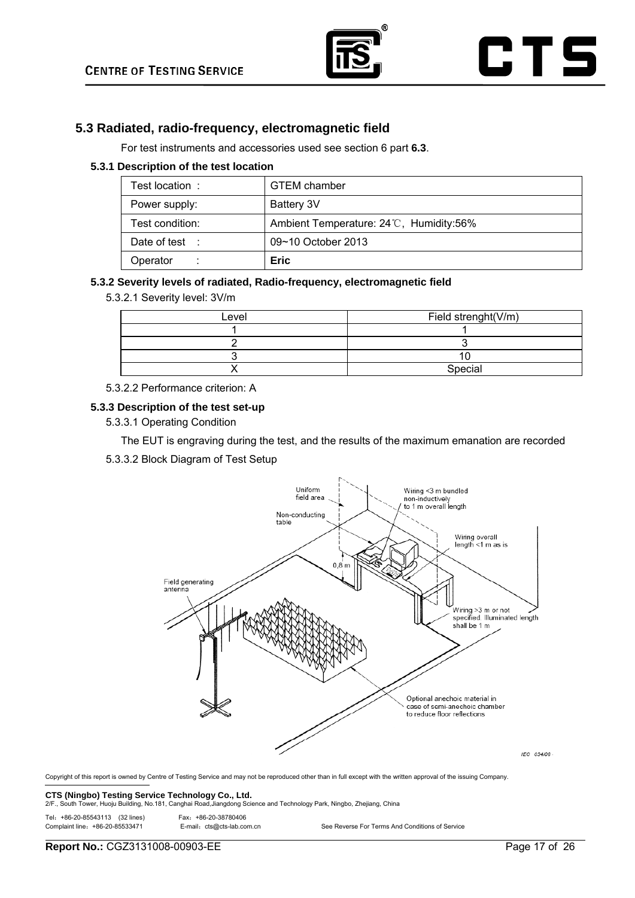

## **5.3 Radiated, radio-frequency, electromagnetic field**

For test instruments and accessories used see section 6 part **6.3**.

## **5.3.1 Description of the test location**

| Test location:            | <b>GTEM</b> chamber                     |
|---------------------------|-----------------------------------------|
| Power supply:             | Battery 3V                              |
| Test condition:           | Ambient Temperature: 24°C, Humidity:56% |
| Date of test $\therefore$ | 09~10 October 2013                      |
| Operator                  | <b>Eric</b>                             |

## **5.3.2 Severity levels of radiated, Radio-frequency, electromagnetic field**

5.3.2.1 Severity level: 3V/m

| Level | Field strenght(V/m) |
|-------|---------------------|
|       |                     |
|       |                     |
|       |                     |
|       | Special             |

## 5.3.2.2 Performance criterion: A

## **5.3.3 Description of the test set-up**

5.3.3.1 Operating Condition

The EUT is engraving during the test, and the results of the maximum emanation are recorded

5.3.3.2 Block Diagram of Test Setup



Copyright of this report is owned by Centre of Testing Service and may not be reproduced other than in full except with the written approval of the issuing Company.

**CTS (Ningbo) Testing Service Technology Co., Ltd.** 2/F., South Tower, Ningbo, Zhejiang, China<br>2/F., South Tower, Huoju Building, No.181, Canghai Road,Jiangdong Science and Technology Park, Ningbo, Zhejiang, China

| Tel: +86-20-85543113 (32 lines) |  | Fax: +86-20-38780406 |
|---------------------------------|--|----------------------|

| Fax: +00-20-00/00400       |                                                 |
|----------------------------|-------------------------------------------------|
| E-mail: cts@cts-lab.com.cn | See Reverse For Terms And Conditions of Service |

Complaint line: +86-20-85533471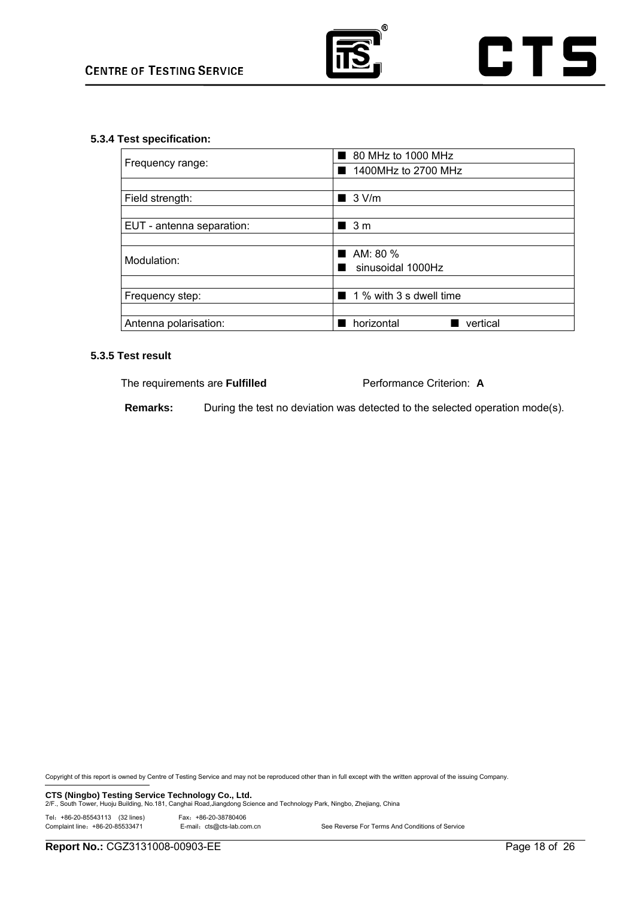

## **5.3.4 Test specification:**

|                           | 80 MHz to 1000 MHz      |  |  |
|---------------------------|-------------------------|--|--|
| Frequency range:          | 1400MHz to 2700 MHz     |  |  |
|                           |                         |  |  |
| Field strength:           | $\blacksquare$ 3 V/m    |  |  |
|                           |                         |  |  |
| EUT - antenna separation: | $\blacksquare$ 3 m      |  |  |
|                           |                         |  |  |
| Modulation:               | AM: $80\%$              |  |  |
|                           | sinusoidal 1000Hz       |  |  |
|                           |                         |  |  |
| Frequency step:           | 1 % with 3 s dwell time |  |  |
|                           |                         |  |  |
| Antenna polarisation:     | horizontal<br>vertical  |  |  |

## **5.3.5 Test result**

The requirements are **Fulfilled** Performance Criterion: **A**

**Remarks:** During the test no deviation was detected to the selected operation mode(s).

Copyright of this report is owned by Centre of Testing Service and may not be reproduced other than in full except with the written approval of the issuing Company.

**CTS (Ningbo) Testing Service Technology Co., Ltd.** 2/F., South Tower, Ningbo, Zhejiang, China<br>2/F., South Tower, Huoju Building, No.181, Canghai Road,Jiangdong Science and Technology Park, Ningbo, Zhejiang, China

Tel:+86-20-85543113 (32 lines) Fax:+86-20-38780406

E-mail: cts@cts-lab.com.cn See Reverse For Terms And Conditions of Service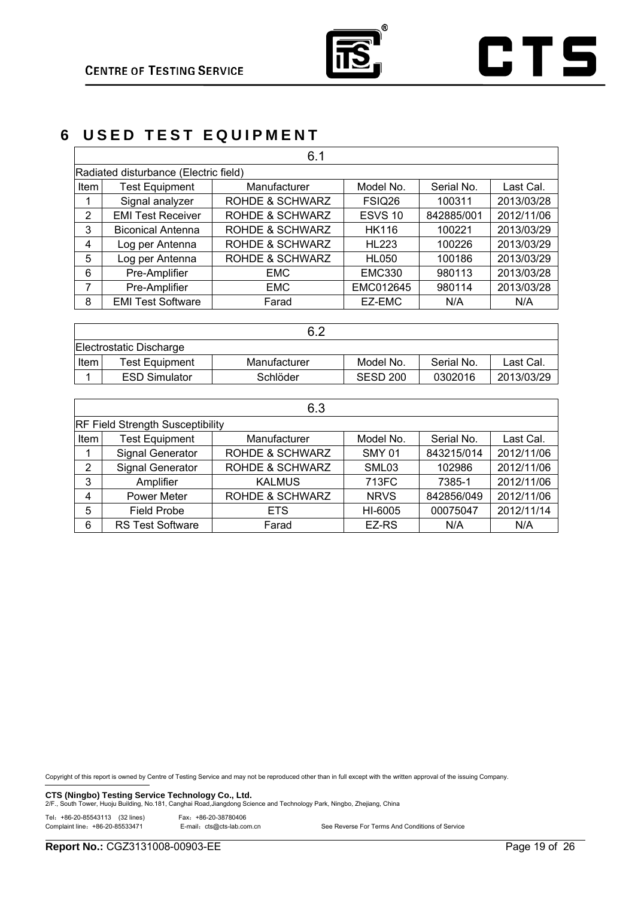

# **6 USED TEST EQUIPMENT**

|                                       | 6.1                      |                            |               |            |            |  |
|---------------------------------------|--------------------------|----------------------------|---------------|------------|------------|--|
| Radiated disturbance (Electric field) |                          |                            |               |            |            |  |
| Item                                  | <b>Test Equipment</b>    | Manufacturer               | Model No.     | Serial No. | Last Cal.  |  |
|                                       | Signal analyzer          | <b>ROHDE &amp; SCHWARZ</b> | FSIQ26        | 100311     | 2013/03/28 |  |
| 2                                     | <b>EMI Test Receiver</b> | <b>ROHDE &amp; SCHWARZ</b> | ESVS 10       | 842885/001 | 2012/11/06 |  |
| 3                                     | <b>Biconical Antenna</b> | <b>ROHDE &amp; SCHWARZ</b> | <b>HK116</b>  | 100221     | 2013/03/29 |  |
| 4                                     | Log per Antenna          | ROHDE & SCHWARZ            | <b>HL223</b>  | 100226     | 2013/03/29 |  |
| 5                                     | Log per Antenna          | <b>ROHDE &amp; SCHWARZ</b> | <b>HL050</b>  | 100186     | 2013/03/29 |  |
| 6                                     | Pre-Amplifier            | <b>EMC</b>                 | <b>EMC330</b> | 980113     | 2013/03/28 |  |
| 7                                     | Pre-Amplifier            | <b>EMC</b>                 | EMC012645     | 980114     | 2013/03/28 |  |
| 8                                     | <b>EMI Test Software</b> | Farad                      | EZ-EMC        | N/A        | N/A        |  |

| 6.2                     |                       |              |           |            |            |
|-------------------------|-----------------------|--------------|-----------|------------|------------|
| Electrostatic Discharge |                       |              |           |            |            |
| Item                    | <b>Test Equipment</b> | Manufacturer | Model No. | Serial No. | Last Cal.  |
|                         | <b>ESD Simulator</b>  | Schlöder     | SESD 200  | 0302016    | 2013/03/29 |

| ٠<br>I<br>۰.<br>٠<br>×<br>M<br>۰.<br>۰.<br>M |  |
|----------------------------------------------|--|
|                                              |  |

| v.v                                     |                         |                            |                   |            |            |
|-----------------------------------------|-------------------------|----------------------------|-------------------|------------|------------|
| <b>RF Field Strength Susceptibility</b> |                         |                            |                   |            |            |
| Item                                    | <b>Test Equipment</b>   | Manufacturer               | Model No.         | Serial No. | Last Cal.  |
|                                         | Signal Generator        | <b>ROHDE &amp; SCHWARZ</b> | <b>SMY 01</b>     | 843215/014 | 2012/11/06 |
| 2                                       | Signal Generator        | <b>ROHDE &amp; SCHWARZ</b> | SML <sub>03</sub> | 102986     | 2012/11/06 |
| 3                                       | Amplifier               | <b>KALMUS</b>              | 713FC             | 7385-1     | 2012/11/06 |
| 4                                       | Power Meter             | <b>ROHDE &amp; SCHWARZ</b> | <b>NRVS</b>       | 842856/049 | 2012/11/06 |
| 5                                       | <b>Field Probe</b>      | <b>ETS</b>                 | HI-6005           | 00075047   | 2012/11/14 |
| 6                                       | <b>RS Test Software</b> | Farad                      | EZ-RS             | N/A        | N/A        |

Copyright of this report is owned by Centre of Testing Service and may not be reproduced other than in full except with the written approval of the issuing Company.

**CTS (Ningbo) Testing Service Technology Co., Ltd.** 2/F., South Tower, Ningbo, Zhejiang, China<br>2/F., South Tower, Huoju Building, No.181, Canghai Road,Jiangdong Science and Technology Park, Ningbo, Zhejiang, China

Tel: +86-20-85543113 (32 lines) Fax: +86-20-38780406<br>Complaint line: +86-20-85533471 E-mail: cts@cts-lab.co

E-mail: cts@cts-lab.com.cn See Reverse For Terms And Conditions of Service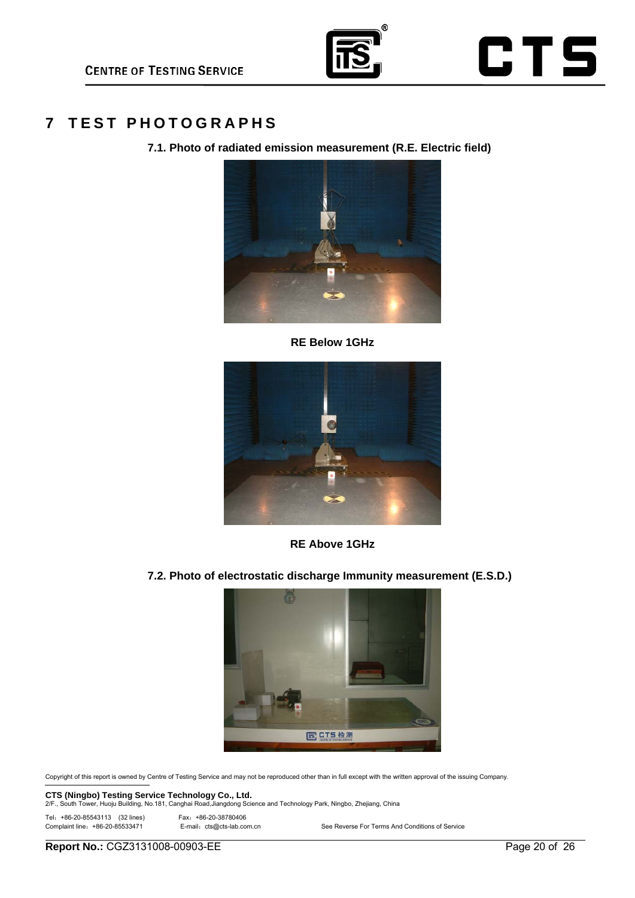

## **7 TEST PHOTOGRAPHS**

**7.1. Photo of radiated emission measurement (R.E. Electric field)** 



**RE Below 1GHz** 



**RE Above 1GHz** 

**7.2. Photo of electrostatic discharge Immunity measurement (E.S.D.)** 



Copyright of this report is owned by Centre of Testing Service and may not be reproduced other than in full except with the written approval of the issuing Company.

**CTS (Ningbo) Testing Service Technology Co., Ltd.** 2/F., South Tower, Ningbo, Zhejiang, China<br>2/F., South Tower, Huoju Building, No.181, Canghai Road,Jiangdong Science and Technology Park, Ningbo, Zhejiang, China

Tel: +86-20-85543113 (32 lines) Fax: +86-20-38780406<br>Complaint line: +86-20-85533471 E-mail: cts@cts-lab.co

E-mail: cts@cts-lab.com.cn See Reverse For Terms And Conditions of Service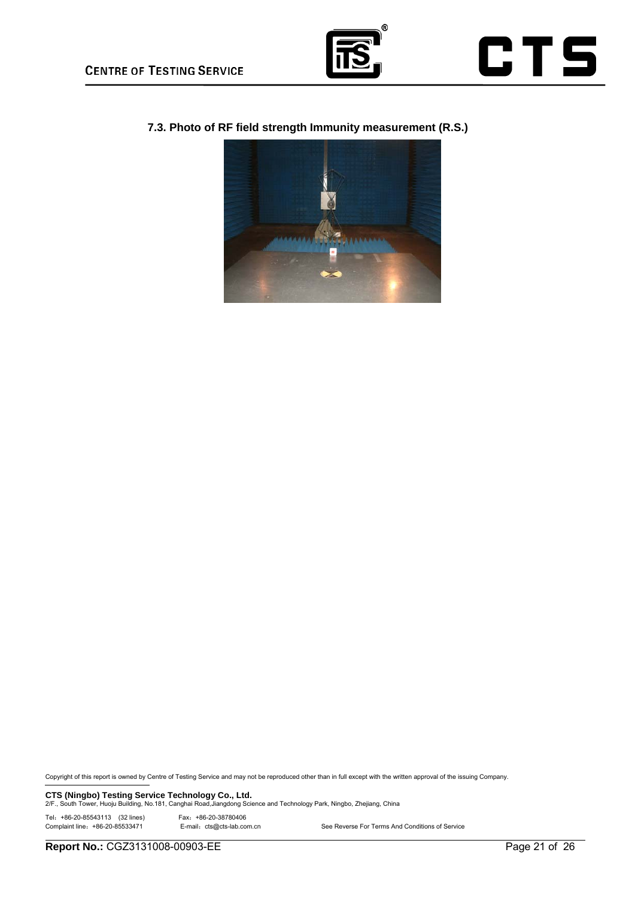



**7.3. Photo of RF field strength Immunity measurement (R.S.)** 



Copyright of this report is owned by Centre of Testing Service and may not be reproduced other than in full except with the written approval of the issuing Company.

**CTS (Ningbo) Testing Service Technology Co., Ltd.** 2/F., South Tower, Ningbo, Zhejiang, China<br>2/F., South Tower, Huoju Building, No.181, Canghai Road,Jiangdong Science and Technology Park, Ningbo, Zhejiang, China

Tel:+86-20-85543113 (32 lines) Fax:+86-20-38780406

E-mail: cts@cts-lab.com.cn See Reverse For Terms And Conditions of Service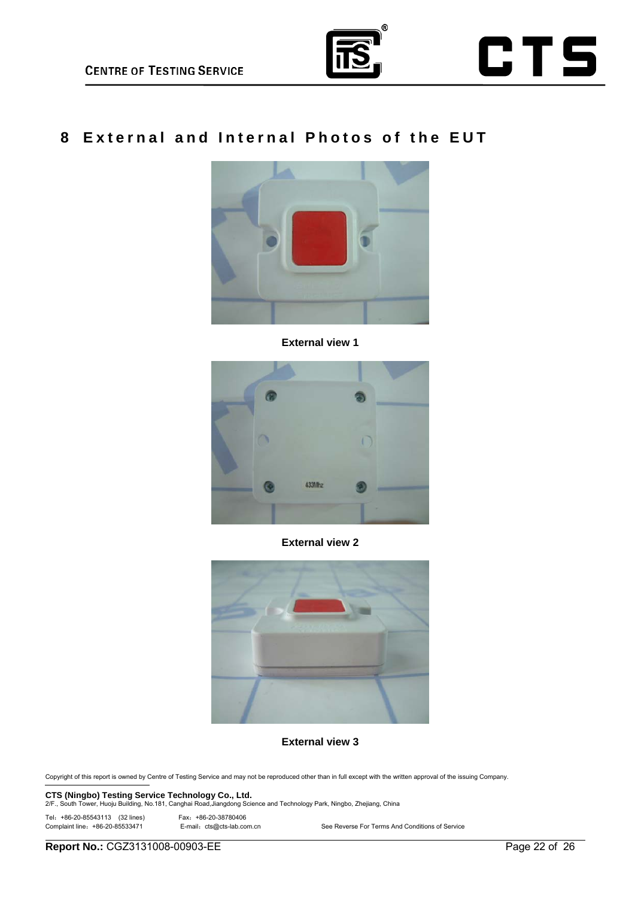



# **8 External and Internal Photos of the EUT**



**External view 1** 



**External view 2** 



**External view 3** 

Copyright of this report is owned by Centre of Testing Service and may not be reproduced other than in full except with the written approval of the issuing Company.

**CTS (Ningbo) Testing Service Technology Co., Ltd.** 2/F., South Tower, Ningbo, Zhejiang, China<br>2/F., South Tower, Huoju Building, No.181, Canghai Road,Jiangdong Science and Technology Park, Ningbo, Zhejiang, China

Tel: +86-20-85543113 (32 lines) Fax: +86-20-38780406<br>Complaint line: +86-20-85533471 E-mail: cts@cts-lab.co

E-mail: cts@cts-lab.com.cn See Reverse For Terms And Conditions of Service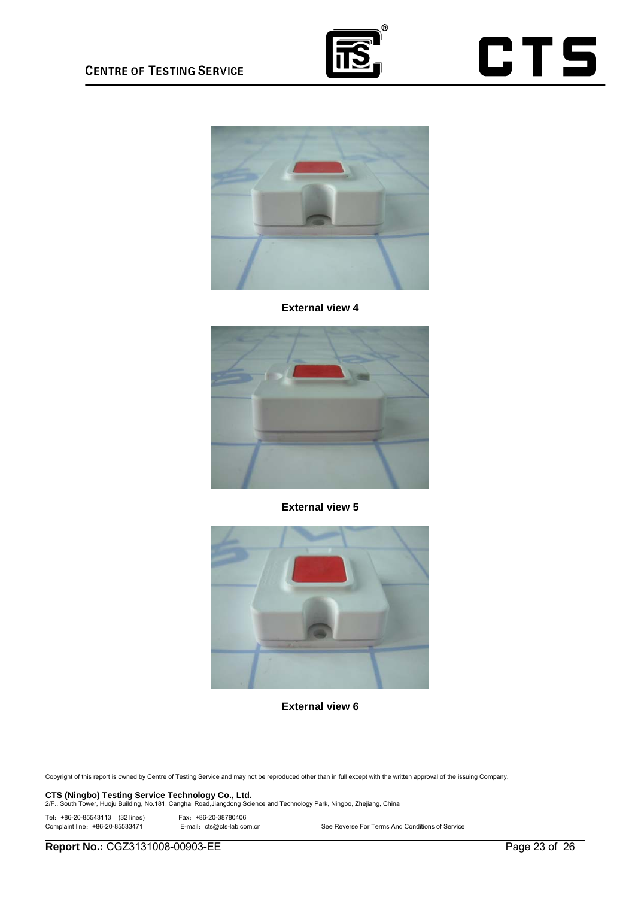





**External view 4** 



**External view 5** 



**External view 6** 

Copyright of this report is owned by Centre of Testing Service and may not be reproduced other than in full except with the written approval of the issuing Company.

**CTS (Ningbo) Testing Service Technology Co., Ltd.** 2/F., South Tower, Hugho, China<br>2/F., South Tower, Huoju Building, No.181, Canghai Road,Jiangdong Science and Technology Park, Ningbo, Zhejiang, China

Tel: +86-20-85543113 (32 lines) Fax: +86-20-38780406<br>Complaint line: +86-20-85533471 E-mail: cts@cts-lab.com.cn

See Reverse For Terms And Conditions of Service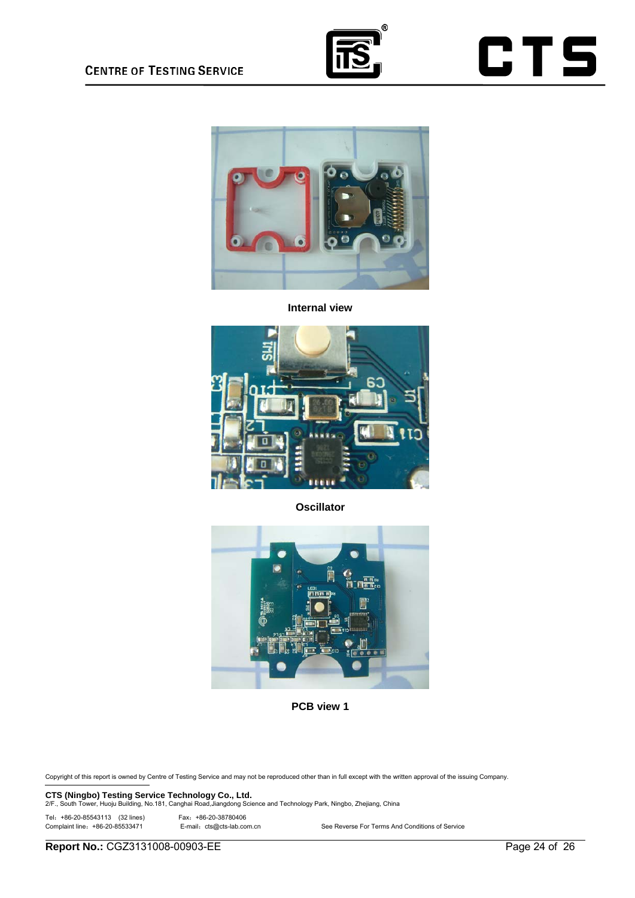



**Internal view** 



**Oscillator** 



**PCB view 1** 

Copyright of this report is owned by Centre of Testing Service and may not be reproduced other than in full except with the written approval of the issuing Company.

**CTS (Ningbo) Testing Service Technology Co., Ltd.** 2/F., South Tower, Ningbo, Zhejiang, China<br>2/F., South Tower, Huoju Building, No.181, Canghai Road,Jiangdong Science and Technology Park, Ningbo, Zhejiang, China

Tel: +86-20-85543113 (32 lines) Fax: +86-20-38780406<br>Complaint line: +86-20-85533471 E-mail: cts@cts-lab.co

E-mail: cts@cts-lab.com.cn See Reverse For Terms And Conditions of Service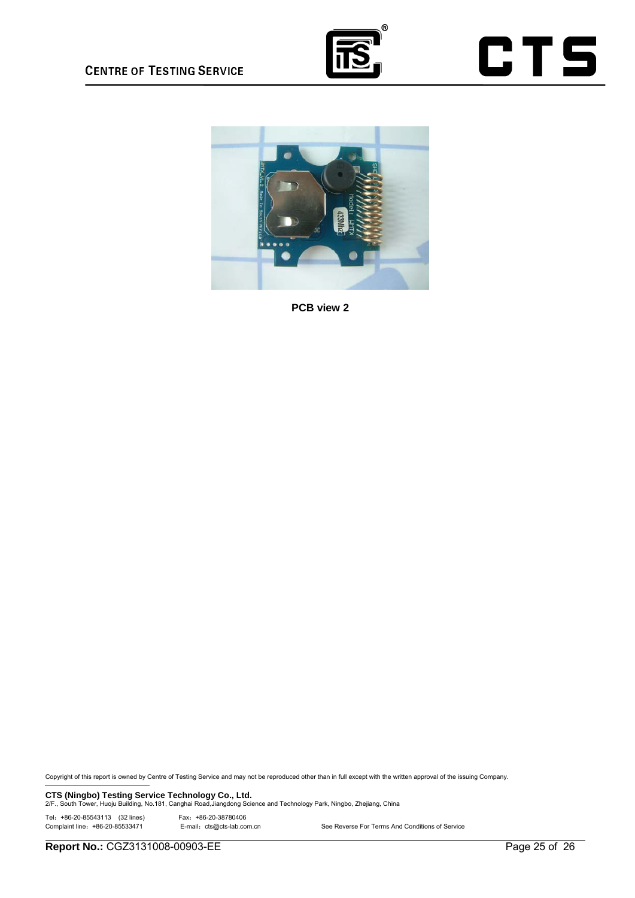





**PCB view 2** 

Copyright of this report is owned by Centre of Testing Service and may not be reproduced other than in full except with the written approval of the issuing Company.

**CTS (Ningbo) Testing Service Technology Co., Ltd.** 2/F., South Tower, Hugho, China<br>2/F., South Tower, Huoju Building, No.181, Canghai Road,Jiangdong Science and Technology Park, Ningbo, Zhejiang, China

Tel: +86-20-85543113 (32 lines) Fax: +86-20-38780406<br>Complaint line: +86-20-85533471 E-mail: cts@cts-lab.com.cn

See Reverse For Terms And Conditions of Service